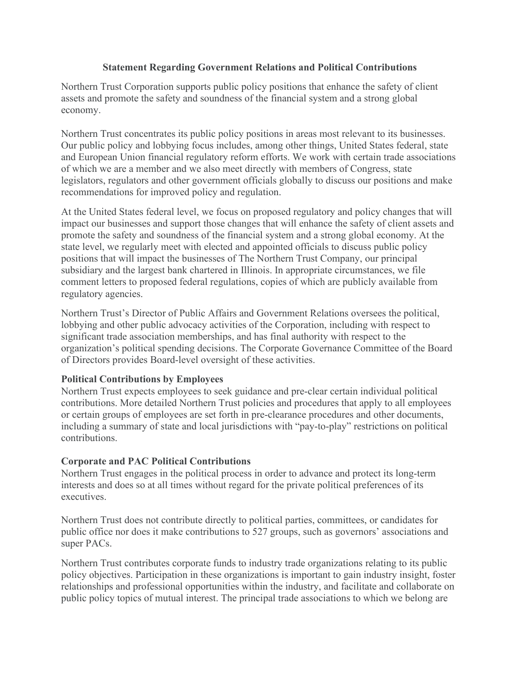## **Statement Regarding Government Relations and Political Contributions**

Northern Trust Corporation supports public policy positions that enhance the safety of client assets and promote the safety and soundness of the financial system and a strong global economy.

Northern Trust concentrates its public policy positions in areas most relevant to its businesses. Our public policy and lobbying focus includes, among other things, United States federal, state and European Union financial regulatory reform efforts. We work with certain trade associations of which we are a member and we also meet directly with members of Congress, state legislators, regulators and other government officials globally to discuss our positions and make recommendations for improved policy and regulation.

At the United States federal level, we focus on proposed regulatory and policy changes that will impact our businesses and support those changes that will enhance the safety of client assets and promote the safety and soundness of the financial system and a strong global economy. At the state level, we regularly meet with elected and appointed officials to discuss public policy positions that will impact the businesses of The Northern Trust Company, our principal subsidiary and the largest bank chartered in Illinois. In appropriate circumstances, we file comment letters to proposed federal regulations, copies of which are publicly available from regulatory agencies.

Northern Trust's Director of Public Affairs and Government Relations oversees the political, lobbying and other public advocacy activities of the Corporation, including with respect to significant trade association memberships, and has final authority with respect to the organization's political spending decisions. The Corporate Governance Committee of the Board of Directors provides Board-level oversight of these activities.

## **Political Contributions by Employees**

Northern Trust expects employees to seek guidance and pre-clear certain individual political contributions. More detailed Northern Trust policies and procedures that apply to all employees or certain groups of employees are set forth in pre-clearance procedures and other documents, including a summary of state and local jurisdictions with "pay-to-play" restrictions on political contributions.

## **Corporate and PAC Political Contributions**

Northern Trust engages in the political process in order to advance and protect its long-term interests and does so at all times without regard for the private political preferences of its executives.

Northern Trust does not contribute directly to political parties, committees, or candidates for public office nor does it make contributions to 527 groups, such as governors' associations and super PACs.

Northern Trust contributes corporate funds to industry trade organizations relating to its public policy objectives. Participation in these organizations is important to gain industry insight, foster relationships and professional opportunities within the industry, and facilitate and collaborate on public policy topics of mutual interest. The principal trade associations to which we belong are